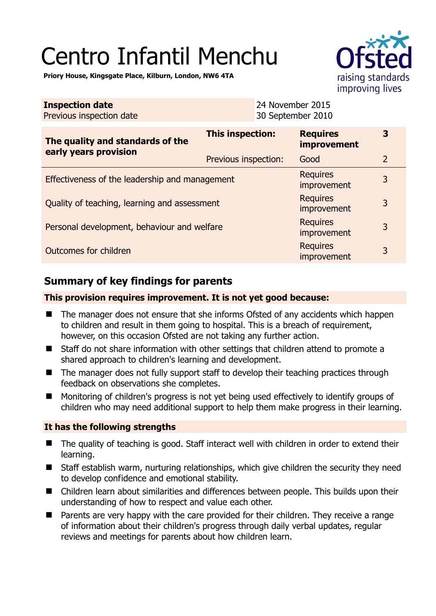# Centro Infantil Menchu



**Priory House, Kingsgate Place, Kilburn, London, NW6 4TA** 

| <b>Inspection date</b><br>Previous inspection date        | 24 November 2015<br>30 September 2010 |                                |                |
|-----------------------------------------------------------|---------------------------------------|--------------------------------|----------------|
| The quality and standards of the<br>early years provision | This inspection:                      | <b>Requires</b><br>improvement | 3              |
|                                                           | Previous inspection:                  | Good                           | $\overline{2}$ |
| Effectiveness of the leadership and management            |                                       | <b>Requires</b><br>improvement | 3              |
| Quality of teaching, learning and assessment              |                                       | <b>Requires</b><br>improvement | 3              |
| Personal development, behaviour and welfare               |                                       | <b>Requires</b><br>improvement | 3              |
| <b>Requires</b><br>Outcomes for children<br>improvement   |                                       | 3                              |                |

## **Summary of key findings for parents**

### **This provision requires improvement. It is not yet good because:**

- The manager does not ensure that she informs Ofsted of any accidents which happen to children and result in them going to hospital. This is a breach of requirement, however, on this occasion Ofsted are not taking any further action.
- Staff do not share information with other settings that children attend to promote a shared approach to children's learning and development.
- The manager does not fully support staff to develop their teaching practices through feedback on observations she completes.
- Monitoring of children's progress is not yet being used effectively to identify groups of children who may need additional support to help them make progress in their learning.

#### **It has the following strengths**

- The quality of teaching is good. Staff interact well with children in order to extend their learning.
- Staff establish warm, nurturing relationships, which give children the security they need to develop confidence and emotional stability.
- Children learn about similarities and differences between people. This builds upon their understanding of how to respect and value each other.
- Parents are very happy with the care provided for their children. They receive a range of information about their children's progress through daily verbal updates, regular reviews and meetings for parents about how children learn.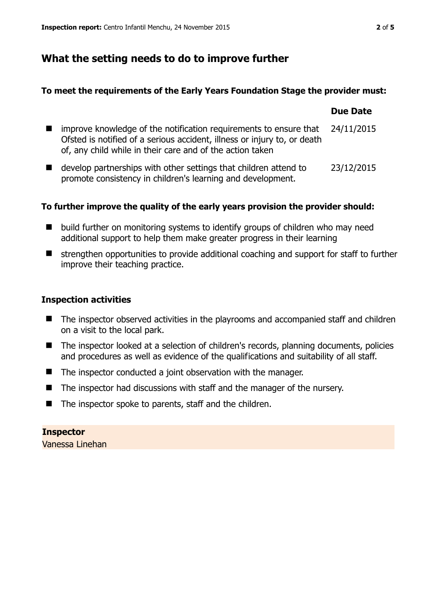## **What the setting needs to do to improve further**

#### **To meet the requirements of the Early Years Foundation Stage the provider must:**

|                |                                                                                                                                                                                                            | <b>Due Date</b> |
|----------------|------------------------------------------------------------------------------------------------------------------------------------------------------------------------------------------------------------|-----------------|
| $\blacksquare$ | improve knowledge of the notification requirements to ensure that<br>Ofsted is notified of a serious accident, illness or injury to, or death<br>of, any child while in their care and of the action taken | 24/11/2015      |
|                | develop partnerships with other settings that children attend to<br>promote consistency in children's learning and development.                                                                            | 23/12/2015      |

#### **To further improve the quality of the early years provision the provider should:**

- build further on monitoring systems to identify groups of children who may need additional support to help them make greater progress in their learning
- $\blacksquare$  strengthen opportunities to provide additional coaching and support for staff to further improve their teaching practice.

#### **Inspection activities**

- The inspector observed activities in the playrooms and accompanied staff and children on a visit to the local park.
- The inspector looked at a selection of children's records, planning documents, policies and procedures as well as evidence of the qualifications and suitability of all staff.
- The inspector conducted a joint observation with the manager.
- The inspector had discussions with staff and the manager of the nursery.
- $\blacksquare$  The inspector spoke to parents, staff and the children.

**Inspector**  Vanessa Linehan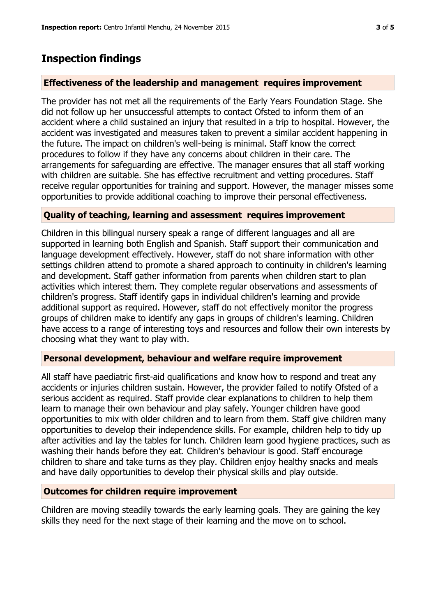## **Inspection findings**

#### **Effectiveness of the leadership and management requires improvement**

The provider has not met all the requirements of the Early Years Foundation Stage. She did not follow up her unsuccessful attempts to contact Ofsted to inform them of an accident where a child sustained an injury that resulted in a trip to hospital. However, the accident was investigated and measures taken to prevent a similar accident happening in the future. The impact on children's well-being is minimal. Staff know the correct procedures to follow if they have any concerns about children in their care. The arrangements for safeguarding are effective. The manager ensures that all staff working with children are suitable. She has effective recruitment and vetting procedures. Staff receive regular opportunities for training and support. However, the manager misses some opportunities to provide additional coaching to improve their personal effectiveness.

#### **Quality of teaching, learning and assessment requires improvement**

Children in this bilingual nursery speak a range of different languages and all are supported in learning both English and Spanish. Staff support their communication and language development effectively. However, staff do not share information with other settings children attend to promote a shared approach to continuity in children's learning and development. Staff gather information from parents when children start to plan activities which interest them. They complete regular observations and assessments of children's progress. Staff identify gaps in individual children's learning and provide additional support as required. However, staff do not effectively monitor the progress groups of children make to identify any gaps in groups of children's learning. Children have access to a range of interesting toys and resources and follow their own interests by choosing what they want to play with.

#### **Personal development, behaviour and welfare require improvement**

All staff have paediatric first-aid qualifications and know how to respond and treat any accidents or injuries children sustain. However, the provider failed to notify Ofsted of a serious accident as required. Staff provide clear explanations to children to help them learn to manage their own behaviour and play safely. Younger children have good opportunities to mix with older children and to learn from them. Staff give children many opportunities to develop their independence skills. For example, children help to tidy up after activities and lay the tables for lunch. Children learn good hygiene practices, such as washing their hands before they eat. Children's behaviour is good. Staff encourage children to share and take turns as they play. Children enjoy healthy snacks and meals and have daily opportunities to develop their physical skills and play outside.

#### **Outcomes for children require improvement**

Children are moving steadily towards the early learning goals. They are gaining the key skills they need for the next stage of their learning and the move on to school.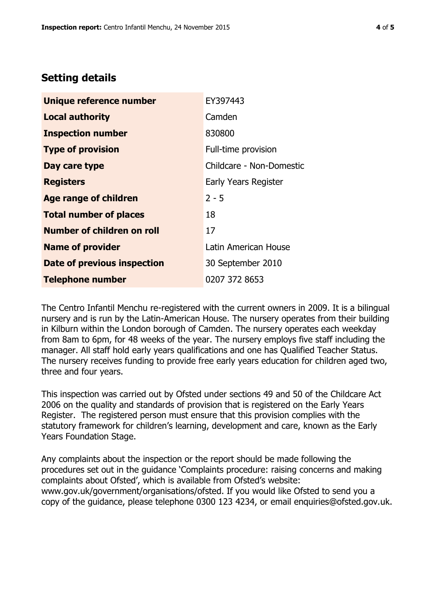## **Setting details**

| Unique reference number       | EY397443                 |
|-------------------------------|--------------------------|
| <b>Local authority</b>        | Camden                   |
| <b>Inspection number</b>      | 830800                   |
| <b>Type of provision</b>      | Full-time provision      |
| Day care type                 | Childcare - Non-Domestic |
| <b>Registers</b>              | Early Years Register     |
| <b>Age range of children</b>  | $2 - 5$                  |
| <b>Total number of places</b> | 18                       |
| Number of children on roll    | 17                       |
| <b>Name of provider</b>       | Latin American House     |
| Date of previous inspection   | 30 September 2010        |
| <b>Telephone number</b>       | 0207 372 8653            |

The Centro Infantil Menchu re-registered with the current owners in 2009. It is a bilingual nursery and is run by the Latin-American House. The nursery operates from their building in Kilburn within the London borough of Camden. The nursery operates each weekday from 8am to 6pm, for 48 weeks of the year. The nursery employs five staff including the manager. All staff hold early years qualifications and one has Qualified Teacher Status. The nursery receives funding to provide free early years education for children aged two, three and four years.

This inspection was carried out by Ofsted under sections 49 and 50 of the Childcare Act 2006 on the quality and standards of provision that is registered on the Early Years Register. The registered person must ensure that this provision complies with the statutory framework for children's learning, development and care, known as the Early Years Foundation Stage.

Any complaints about the inspection or the report should be made following the procedures set out in the guidance 'Complaints procedure: raising concerns and making complaints about Ofsted', which is available from Ofsted's website: www.gov.uk/government/organisations/ofsted. If you would like Ofsted to send you a copy of the guidance, please telephone 0300 123 4234, or email enquiries@ofsted.gov.uk.